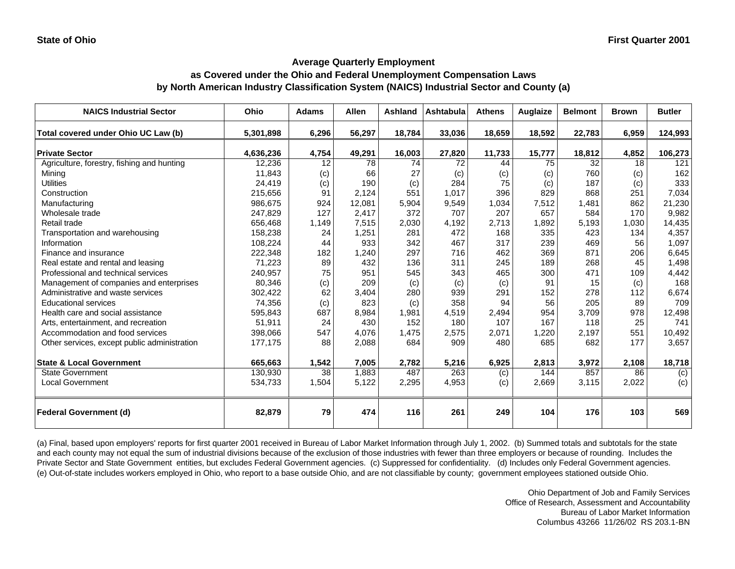## **as Covered under the Ohio and Federal Unemployment Compensation Laws by North American Industry Classification System (NAICS) Industrial Sector and County (a)**

| <b>NAICS Industrial Sector</b>               | Ohio      | <b>Adams</b> | <b>Allen</b> | Ashland | <b>Ashtabula</b> | <b>Athens</b>    | Auglaize | <b>Belmont</b> | <b>Brown</b> | <b>Butler</b>    |
|----------------------------------------------|-----------|--------------|--------------|---------|------------------|------------------|----------|----------------|--------------|------------------|
| Total covered under Ohio UC Law (b)          | 5,301,898 | 6,296        | 56,297       | 18,784  | 33,036           | 18,659           | 18,592   | 22,783         | 6,959        | 124,993          |
| <b>Private Sector</b>                        | 4,636,236 | 4,754        | 49,291       | 16,003  | 27,820           | 11,733           | 15,777   | 18,812         | 4,852        | 106,273          |
| Agriculture, forestry, fishing and hunting   | 12,236    | 12           | 78           | 74      | 72               | 44               | 75       | 32             | 18           | 121              |
| Mining                                       | 11,843    | (c)          | 66           | 27      | (c)              | (c)              | (c)      | 760            | (c)          | 162              |
| <b>Utilities</b>                             | 24,419    | (c)          | 190          | (c)     | 284              | 75               | (c)      | 187            | (c)          | 333              |
| Construction                                 | 215,656   | 91           | 2,124        | 551     | 1,017            | 396              | 829      | 868            | 251          | 7,034            |
| Manufacturing                                | 986,675   | 924          | 12,081       | 5,904   | 9,549            | 1,034            | 7,512    | 1,481          | 862          | 21,230           |
| Wholesale trade                              | 247,829   | 127          | 2,417        | 372     | 707              | 207              | 657      | 584            | 170          | 9,982            |
| Retail trade                                 | 656,468   | 1,149        | 7,515        | 2,030   | 4,192            | 2,713            | 1,892    | 5,193          | 1,030        | 14,435           |
| Transportation and warehousing               | 158,238   | 24           | 1,251        | 281     | 472              | 168              | 335      | 423            | 134          | 4,357            |
| Information                                  | 108,224   | 44           | 933          | 342     | 467              | 317              | 239      | 469            | 56           | 1,097            |
| Finance and insurance                        | 222,348   | 182          | 1,240        | 297     | 716              | 462              | 369      | 871            | 206          | 6,645            |
| Real estate and rental and leasing           | 71,223    | 89           | 432          | 136     | 311              | 245              | 189      | 268            | 45           | 1,498            |
| Professional and technical services          | 240,957   | 75           | 951          | 545     | 343              | 465              | 300      | 471            | 109          | 4,442            |
| Management of companies and enterprises      | 80,346    | (c)          | 209          | (c)     | (c)              | (c)              | 91       | 15             | (c)          | 168              |
| Administrative and waste services            | 302,422   | 62           | 3,404        | 280     | 939              | 291              | 152      | 278            | 112          | 6,674            |
| <b>Educational services</b>                  | 74,356    | (c)          | 823          | (c)     | 358              | 94               | 56       | 205            | 89           | 709              |
| Health care and social assistance            | 595,843   | 687          | 8,984        | 1,981   | 4,519            | 2,494            | 954      | 3,709          | 978          | 12,498           |
| Arts, entertainment, and recreation          | 51,911    | 24           | 430          | 152     | 180              | 107              | 167      | 118            | 25           | 741              |
| Accommodation and food services              | 398,066   | 547          | 4,076        | 1,475   | 2,575            | 2,071            | 1,220    | 2,197          | 551          | 10,492           |
| Other services, except public administration | 177,175   | 88           | 2,088        | 684     | 909              | 480              | 685      | 682            | 177          | 3,657            |
| <b>State &amp; Local Government</b>          | 665,663   | 1,542        | 7,005        | 2,782   | 5,216            | 6,925            | 2,813    | 3,972          | 2,108        | 18,718           |
| <b>State Government</b>                      | 130,930   | 38           | 1,883        | 487     | 263              | $\overline{(c)}$ | 144      | 857            | 86           | $\overline{(c)}$ |
| <b>Local Government</b>                      | 534,733   | 1,504        | 5,122        | 2,295   | 4,953            | (c)              | 2,669    | 3,115          | 2,022        | (c)              |
| <b>Federal Government (d)</b>                | 82,879    | 79           | 474          | 116     | 261              | 249              | 104      | 176            | 103          | 569              |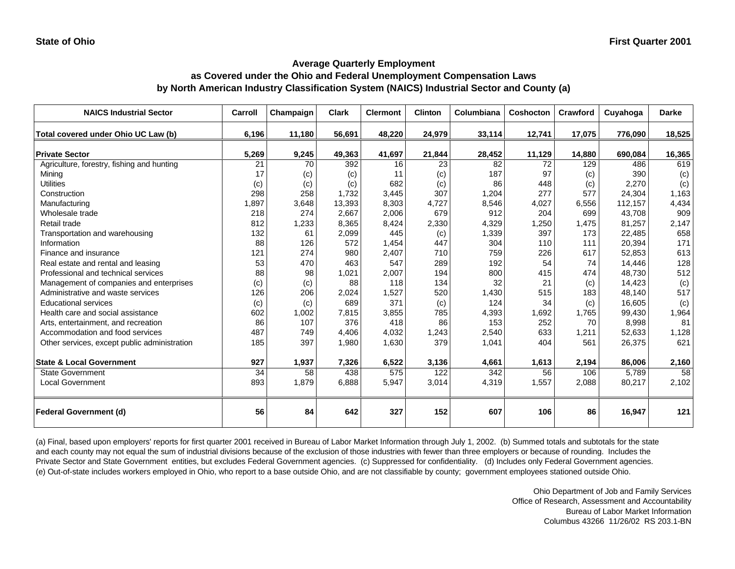## **Average Quarterly Employment as Covered under the Ohio and Federal Unemployment Compensation Laws by North American Industry Classification System (NAICS) Industrial Sector and County (a)**

| <b>NAICS Industrial Sector</b>               | Carroll | Champaign | <b>Clark</b> | <b>Clermont</b> | <b>Clinton</b> | Columbiana | Coshocton | Crawford | Cuyahoga | <b>Darke</b> |
|----------------------------------------------|---------|-----------|--------------|-----------------|----------------|------------|-----------|----------|----------|--------------|
| Total covered under Ohio UC Law (b)          | 6,196   | 11,180    | 56,691       | 48,220          | 24,979         | 33,114     | 12,741    | 17,075   | 776,090  | 18,525       |
| <b>Private Sector</b>                        | 5,269   | 9,245     | 49,363       | 41,697          | 21,844         | 28,452     | 11,129    | 14,880   | 690,084  | 16,365       |
| Agriculture, forestry, fishing and hunting   | 21      | 70        | 392          | 16              | 23             | 82         | 72        | 129      | 486      | 619          |
| Mining                                       | 17      | (c)       | (c)          | 11              | (c)            | 187        | 97        | (c)      | 390      | (c)          |
| <b>Utilities</b>                             | (c)     | (c)       | (c)          | 682             | (c)            | 86         | 448       | (c)      | 2,270    | (c)          |
| Construction                                 | 298     | 258       | 1,732        | 3,445           | 307            | 1,204      | 277       | 577      | 24,304   | 1,163        |
| Manufacturing                                | 1,897   | 3,648     | 13,393       | 8,303           | 4,727          | 8,546      | 4,027     | 6,556    | 112,157  | 4,434        |
| Wholesale trade                              | 218     | 274       | 2,667        | 2,006           | 679            | 912        | 204       | 699      | 43.708   | 909          |
| Retail trade                                 | 812     | 1,233     | 8,365        | 8,424           | 2,330          | 4,329      | 1,250     | 1,475    | 81,257   | 2,147        |
| Transportation and warehousing               | 132     | 61        | 2,099        | 445             | (c)            | 1,339      | 397       | 173      | 22,485   | 658          |
| Information                                  | 88      | 126       | 572          | 1,454           | 447            | 304        | 110       | 111      | 20,394   | 171          |
| Finance and insurance                        | 121     | 274       | 980          | 2,407           | 710            | 759        | 226       | 617      | 52,853   | 613          |
| Real estate and rental and leasing           | 53      | 470       | 463          | 547             | 289            | 192        | 54        | 74       | 14,446   | 128          |
| Professional and technical services          | 88      | 98        | 1,021        | 2,007           | 194            | 800        | 415       | 474      | 48,730   | 512          |
| Management of companies and enterprises      | (c)     | (c)       | 88           | 118             | 134            | 32         | 21        | (c)      | 14,423   | (c)          |
| Administrative and waste services            | 126     | 206       | 2,024        | 1,527           | 520            | 1,430      | 515       | 183      | 48,140   | 517          |
| <b>Educational services</b>                  | (c)     | (c)       | 689          | 371             | (c)            | 124        | 34        | (c)      | 16,605   | (c)          |
| Health care and social assistance            | 602     | 1,002     | 7,815        | 3,855           | 785            | 4,393      | 1,692     | 1,765    | 99,430   | 1,964        |
| Arts, entertainment, and recreation          | 86      | 107       | 376          | 418             | 86             | 153        | 252       | 70       | 8,998    | 81           |
| Accommodation and food services              | 487     | 749       | 4.406        | 4,032           | 1,243          | 2,540      | 633       | 1,211    | 52,633   | 1,128        |
| Other services, except public administration | 185     | 397       | 1,980        | 1,630           | 379            | 1,041      | 404       | 561      | 26,375   | 621          |
| <b>State &amp; Local Government</b>          | 927     | 1,937     | 7,326        | 6,522           | 3,136          | 4,661      | 1,613     | 2,194    | 86,006   | 2,160        |
| <b>State Government</b>                      | 34      | 58        | 438          | 575             | 122            | 342        | 56        | 106      | 5,789    | 58           |
| <b>Local Government</b>                      | 893     | 1,879     | 6,888        | 5,947           | 3,014          | 4,319      | 1,557     | 2,088    | 80,217   | 2,102        |
| <b>Federal Government (d)</b>                | 56      | 84        | 642          | 327             | 152            | 607        | 106       | 86       | 16,947   | 121          |

(a) Final, based upon employers' reports for first quarter 2001 received in Bureau of Labor Market Information through July 1, 2002. (b) Summed totals and subtotals for the state and each county may not equal the sum of industrial divisions because of the exclusion of those industries with fewer than three employers or because of rounding. Includes the Private Sector and State Government entities, but excludes Federal Government agencies. (c) Suppressed for confidentiality. (d) Includes only Federal Government agencies. (e) Out-of-state includes workers employed in Ohio, who report to a base outside Ohio, and are not classifiable by county; government employees stationed outside Ohio.

> Ohio Department of Job and Family Services Office of Research, Assessment and Accountability Bureau of Labor Market Information Columbus 43266 11/26/02 RS 203.1-BN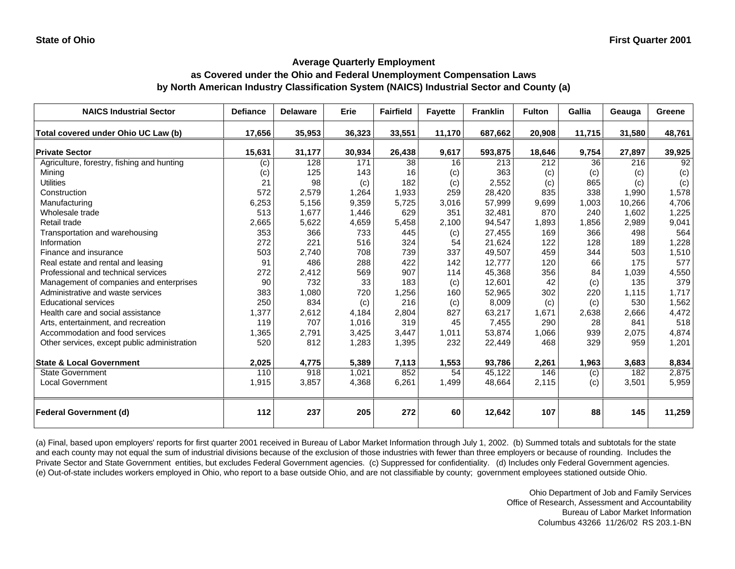### **as Covered under the Ohio and Federal Unemployment Compensation Laws by North American Industry Classification System (NAICS) Industrial Sector and County (a)**

| <b>NAICS Industrial Sector</b>               | <b>Defiance</b> | <b>Delaware</b> | Erie   | <b>Fairfield</b> | <b>Fayette</b> | <b>Franklin</b> | <b>Fulton</b> | Gallia | Geauga | Greene |
|----------------------------------------------|-----------------|-----------------|--------|------------------|----------------|-----------------|---------------|--------|--------|--------|
| Total covered under Ohio UC Law (b)          | 17,656          | 35,953          | 36,323 | 33,551           | 11,170         | 687,662         | 20,908        | 11,715 | 31,580 | 48,761 |
| <b>Private Sector</b>                        | 15,631          | 31,177          | 30,934 | 26,438           | 9,617          | 593,875         | 18,646        | 9,754  | 27,897 | 39,925 |
| Agriculture, forestry, fishing and hunting   | (c)             | 128             | 171    | 38               | 16             | 213             | 212           | 36     | 216    | 92     |
| Mining                                       | (c)             | 125             | 143    | 16               | (c)            | 363             | (c)           | (c)    | (c)    | (c)    |
| <b>Utilities</b>                             | 21              | 98              | (c)    | 182              | (c)            | 2,552           | (c)           | 865    | (c)    | (c)    |
| Construction                                 | 572             | 2,579           | 1,264  | 1,933            | 259            | 28,420          | 835           | 338    | 1,990  | 1,578  |
| Manufacturing                                | 6,253           | 5,156           | 9,359  | 5,725            | 3,016          | 57,999          | 9,699         | 1,003  | 10,266 | 4,706  |
| Wholesale trade                              | 513             | 1,677           | 1,446  | 629              | 351            | 32,481          | 870           | 240    | 1,602  | 1,225  |
| Retail trade                                 | 2,665           | 5,622           | 4,659  | 5,458            | 2,100          | 94,547          | 1,893         | 1,856  | 2,989  | 9,041  |
| Transportation and warehousing               | 353             | 366             | 733    | 445              | (c)            | 27,455          | 169           | 366    | 498    | 564    |
| Information                                  | 272             | 221             | 516    | 324              | 54             | 21,624          | 122           | 128    | 189    | 1,228  |
| Finance and insurance                        | 503             | 2,740           | 708    | 739              | 337            | 49,507          | 459           | 344    | 503    | 1,510  |
| Real estate and rental and leasing           | 91              | 486             | 288    | 422              | 142            | 12,777          | 120           | 66     | 175    | 577    |
| Professional and technical services          | 272             | 2,412           | 569    | 907              | 114            | 45,368          | 356           | 84     | 1,039  | 4,550  |
| Management of companies and enterprises      | 90              | 732             | 33     | 183              | (c)            | 12,601          | 42            | (c)    | 135    | 379    |
| Administrative and waste services            | 383             | 1,080           | 720    | 1,256            | 160            | 52,965          | 302           | 220    | 1,115  | 1,717  |
| <b>Educational services</b>                  | 250             | 834             | (c)    | 216              | (c)            | 8,009           | (c)           | (c)    | 530    | 1,562  |
| Health care and social assistance            | 1,377           | 2,612           | 4,184  | 2,804            | 827            | 63,217          | 1,671         | 2,638  | 2,666  | 4,472  |
| Arts, entertainment, and recreation          | 119             | 707             | 1,016  | 319              | 45             | 7,455           | 290           | 28     | 841    | 518    |
| Accommodation and food services              | 1,365           | 2,791           | 3,425  | 3,447            | 1,011          | 53,874          | 1,066         | 939    | 2,075  | 4,874  |
| Other services, except public administration | 520             | 812             | 1,283  | 1,395            | 232            | 22,449          | 468           | 329    | 959    | 1,201  |
| <b>State &amp; Local Government</b>          | 2,025           | 4,775           | 5,389  | 7,113            | 1,553          | 93,786          | 2,261         | 1,963  | 3,683  | 8,834  |
| <b>State Government</b>                      | 110             | 918             | 1,021  | 852              | 54             | 45,122          | 146           | (c)    | 182    | 2,875  |
| <b>Local Government</b>                      | 1,915           | 3,857           | 4,368  | 6,261            | 1,499          | 48,664          | 2,115         | (c)    | 3,501  | 5,959  |
| <b>Federal Government (d)</b>                | 112             | 237             | 205    | 272              | 60             | 12,642          | 107           | 88     | 145    | 11,259 |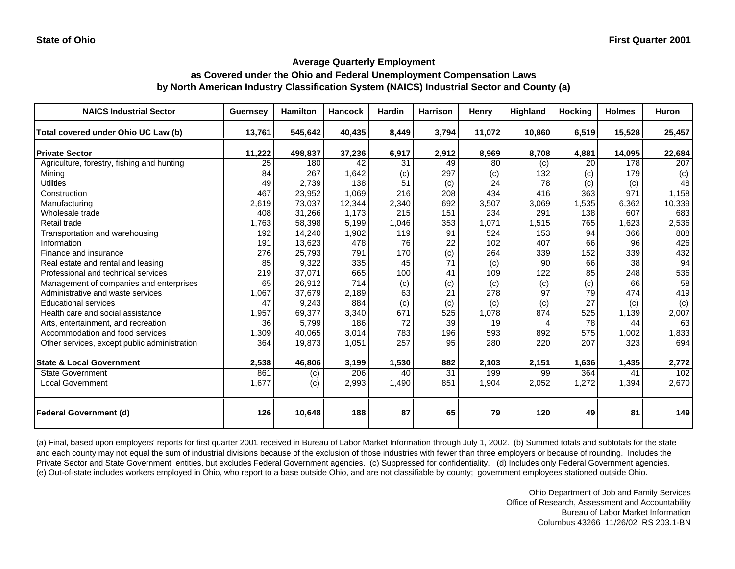#### **as Covered under the Ohio and Federal Unemployment Compensation Laws by North American Industry Classification System (NAICS) Industrial Sector and County (a)**

| <b>NAICS Industrial Sector</b>               | <b>Guernsey</b> | <b>Hamilton</b> | <b>Hancock</b> | <b>Hardin</b> | <b>Harrison</b> | Henry  | Highland | <b>Hocking</b> | <b>Holmes</b> | <b>Huron</b> |
|----------------------------------------------|-----------------|-----------------|----------------|---------------|-----------------|--------|----------|----------------|---------------|--------------|
| Total covered under Ohio UC Law (b)          | 13,761          | 545,642         | 40,435         | 8,449         | 3,794           | 11,072 | 10,860   | 6,519          | 15,528        | 25,457       |
| <b>Private Sector</b>                        | 11,222          | 498,837         | 37,236         | 6,917         | 2,912           | 8,969  | 8,708    | 4,881          | 14,095        | 22,684       |
| Agriculture, forestry, fishing and hunting   | 25              | 180             | 42             | 31            | 49              | 80     | (c)      | 20             | 178           | 207          |
| Mining                                       | 84              | 267             | 1,642          | (c)           | 297             | (c)    | 132      | (c)            | 179           | (c)          |
| <b>Utilities</b>                             | 49              | 2.739           | 138            | 51            | (c)             | 24     | 78       | (c)            | (c)           | 48           |
| Construction                                 | 467             | 23,952          | 1,069          | 216           | 208             | 434    | 416      | 363            | 971           | 1,158        |
| Manufacturing                                | 2,619           | 73,037          | 12,344         | 2,340         | 692             | 3,507  | 3,069    | 1,535          | 6,362         | 10,339       |
| Wholesale trade                              | 408             | 31,266          | 1,173          | 215           | 151             | 234    | 291      | 138            | 607           | 683          |
| Retail trade                                 | 1,763           | 58,398          | 5,199          | 1,046         | 353             | 1,071  | 1,515    | 765            | 1,623         | 2,536        |
| Transportation and warehousing               | 192             | 14,240          | 1,982          | 119           | 91              | 524    | 153      | 94             | 366           | 888          |
| Information                                  | 191             | 13,623          | 478            | 76            | 22              | 102    | 407      | 66             | 96            | 426          |
| Finance and insurance                        | 276             | 25,793          | 791            | 170           | (c)             | 264    | 339      | 152            | 339           | 432          |
| Real estate and rental and leasing           | 85              | 9,322           | 335            | 45            | 71              | (c)    | 90       | 66             | 38            | 94           |
| Professional and technical services          | 219             | 37,071          | 665            | 100           | 41              | 109    | 122      | 85             | 248           | 536          |
| Management of companies and enterprises      | 65              | 26,912          | 714            | (c)           | (c)             | (c)    | (c)      | (c)            | 66            | 58           |
| Administrative and waste services            | 1,067           | 37,679          | 2,189          | 63            | 21              | 278    | 97       | 79             | 474           | 419          |
| <b>Educational services</b>                  | 47              | 9,243           | 884            | (c)           | (c)             | (c)    | (c)      | 27             | (c)           | (c)          |
| Health care and social assistance            | 1,957           | 69,377          | 3,340          | 671           | 525             | 1,078  | 874      | 525            | 1,139         | 2,007        |
| Arts, entertainment, and recreation          | 36              | 5,799           | 186            | 72            | 39              | 19     | 4        | 78             | 44            | 63           |
| Accommodation and food services              | 1,309           | 40,065          | 3,014          | 783           | 196             | 593    | 892      | 575            | 1,002         | 1,833        |
| Other services, except public administration | 364             | 19,873          | 1,051          | 257           | 95              | 280    | 220      | 207            | 323           | 694          |
|                                              |                 |                 |                |               |                 |        |          |                |               |              |
| <b>State &amp; Local Government</b>          | 2,538           | 46,806          | 3,199          | 1,530         | 882             | 2,103  | 2,151    | 1,636          | 1,435         | 2,772        |
| <b>State Government</b>                      | 861             | (c)             | 206            | 40            | $\overline{31}$ | 199    | 99       | 364            | 41            | 102          |
| <b>Local Government</b>                      | 1,677           | (c)             | 2,993          | 1,490         | 851             | 1,904  | 2,052    | 1,272          | 1,394         | 2,670        |
| <b>Federal Government (d)</b>                | 126             | 10,648          | 188            | 87            | 65              | 79     | 120      | 49             | 81            | 149          |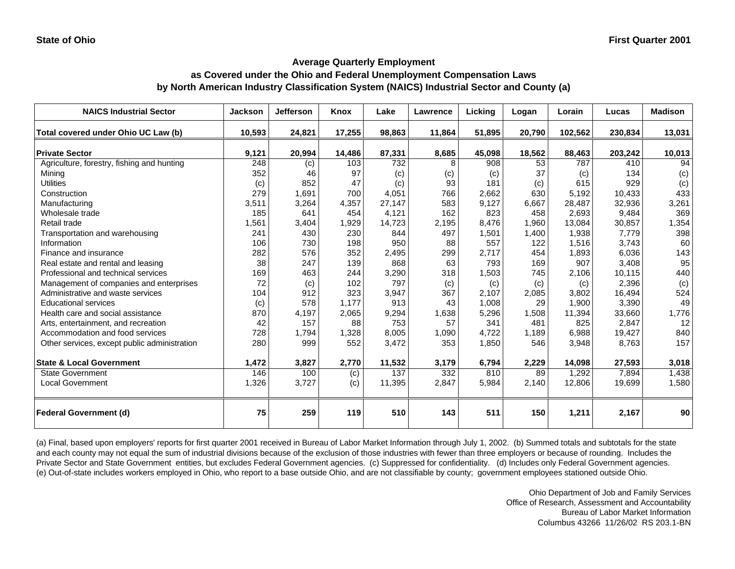#### **as Covered under the Ohio and Federal Unemployment Compensation Laws by North American Industry Classification System (NAICS) Industrial Sector and County (a)**

| <b>NAICS Industrial Sector</b>               | Jackson | <b>Jefferson</b> | Knox   | Lake   | Lawrence | Licking | Logan  | Lorain  | Lucas   | <b>Madison</b> |
|----------------------------------------------|---------|------------------|--------|--------|----------|---------|--------|---------|---------|----------------|
| Total covered under Ohio UC Law (b)          | 10,593  | 24,821           | 17,255 | 98,863 | 11,864   | 51,895  | 20,790 | 102,562 | 230,834 | 13,031         |
| <b>Private Sector</b>                        | 9,121   | 20,994           | 14,486 | 87,331 | 8,685    | 45,098  | 18,562 | 88,463  | 203,242 | 10,013         |
| Agriculture, forestry, fishing and hunting   | 248     | (c)              | 103    | 732    | 8        | 908     | 53     | 787     | 410     | 94             |
| Minina                                       | 352     | 46               | 97     | (c)    | (c)      | (c)     | 37     | (c)     | 134     | (c)            |
| <b>Utilities</b>                             | (c)     | 852              | 47     | (c)    | 93       | 181     | (c)    | 615     | 929     | (c)            |
| Construction                                 | 279     | 1,691            | 700    | 4,051  | 766      | 2.662   | 630    | 5.192   | 10.433  | 433            |
| Manufacturing                                | 3,511   | 3,264            | 4,357  | 27,147 | 583      | 9,127   | 6,667  | 28,487  | 32,936  | 3,261          |
| Wholesale trade                              | 185     | 641              | 454    | 4,121  | 162      | 823     | 458    | 2,693   | 9,484   | 369            |
| Retail trade                                 | 1,561   | 3,404            | 1,929  | 14,723 | 2,195    | 8.476   | 1,960  | 13,084  | 30,857  | 1,354          |
| Transportation and warehousing               | 241     | 430              | 230    | 844    | 497      | 1,501   | 1,400  | 1,938   | 7,779   | 398            |
| Information                                  | 106     | 730              | 198    | 950    | 88       | 557     | 122    | 1,516   | 3,743   | 60             |
| Finance and insurance                        | 282     | 576              | 352    | 2,495  | 299      | 2.717   | 454    | 1,893   | 6,036   | 143            |
| Real estate and rental and leasing           | 38      | 247              | 139    | 868    | 63       | 793     | 169    | 907     | 3,408   | 95             |
| Professional and technical services          | 169     | 463              | 244    | 3,290  | 318      | 1,503   | 745    | 2,106   | 10,115  | 440            |
| Management of companies and enterprises      | 72      | (c)              | 102    | 797    | (c)      | (c)     | (c)    | (c)     | 2,396   | (c)            |
| Administrative and waste services            | 104     | 912              | 323    | 3,947  | 367      | 2,107   | 2,085  | 3,802   | 16,494  | 524            |
| <b>Educational services</b>                  | (c)     | 578              | 1,177  | 913    | 43       | 1,008   | 29     | 1,900   | 3,390   | 49             |
| Health care and social assistance            | 870     | 4,197            | 2,065  | 9,294  | 1,638    | 5,296   | 1,508  | 11,394  | 33,660  | 1,776          |
| Arts, entertainment, and recreation          | 42      | 157              | 88     | 753    | 57       | 341     | 481    | 825     | 2,847   | 12             |
| Accommodation and food services              | 728     | 1,794            | 1,328  | 8,005  | 1,090    | 4,722   | 1,189  | 6,988   | 19,427  | 840            |
| Other services, except public administration | 280     | 999              | 552    | 3,472  | 353      | 1,850   | 546    | 3,948   | 8,763   | 157            |
| <b>State &amp; Local Government</b>          | 1,472   | 3,827            | 2,770  | 11,532 | 3,179    | 6,794   | 2,229  | 14,098  | 27,593  | 3,018          |
| <b>State Government</b>                      | 146     | 100              | (c)    | 137    | 332      | 810     | 89     | 1,292   | 7,894   | 1,438          |
| <b>Local Government</b>                      | 1,326   | 3,727            | (c)    | 11,395 | 2,847    | 5,984   | 2,140  | 12,806  | 19,699  | 1,580          |
| <b>Federal Government (d)</b>                | 75      | 259              | 119    | 510    | 143      | 511     | 150    | 1,211   | 2,167   | 90             |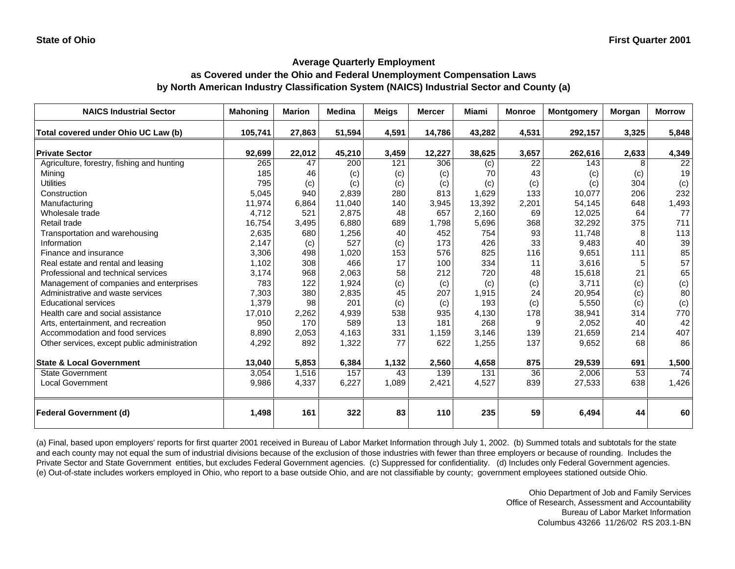#### **as Covered under the Ohio and Federal Unemployment Compensation Laws by North American Industry Classification System (NAICS) Industrial Sector and County (a)**

| <b>NAICS Industrial Sector</b>               | <b>Mahoning</b> | <b>Marion</b> | Medina | Meigs | <b>Mercer</b> | <b>Miami</b> | <b>Monroe</b> | <b>Montgomery</b> | Morgan | <b>Morrow</b>   |
|----------------------------------------------|-----------------|---------------|--------|-------|---------------|--------------|---------------|-------------------|--------|-----------------|
| Total covered under Ohio UC Law (b)          | 105,741         | 27,863        | 51,594 | 4,591 | 14,786        | 43,282       | 4,531         | 292,157           | 3,325  | 5,848           |
| <b>Private Sector</b>                        | 92,699          | 22,012        | 45,210 | 3,459 | 12,227        | 38,625       | 3,657         | 262,616           | 2,633  | 4,349           |
| Agriculture, forestry, fishing and hunting   | 265             | 47            | 200    | 121   | 306           | (c)          | 22            | 143               | 8      | $\overline{22}$ |
| Mining                                       | 185             | 46            | (c)    | (c)   | (c)           | 70           | 43            | (c)               | (c)    | 19              |
| <b>Utilities</b>                             | 795             | (c)           | (c)    | (c)   | (c)           | (c)          | (c)           | (c)               | 304    | (c)             |
| Construction                                 | 5,045           | 940           | 2,839  | 280   | 813           | 1,629        | 133           | 10,077            | 206    | 232             |
| Manufacturing                                | 11,974          | 6,864         | 11,040 | 140   | 3,945         | 13,392       | 2,201         | 54,145            | 648    | 1,493           |
| Wholesale trade                              | 4.712           | 521           | 2,875  | 48    | 657           | 2,160        | 69            | 12,025            | 64     | 77              |
| Retail trade                                 | 16,754          | 3,495         | 6,880  | 689   | 1,798         | 5,696        | 368           | 32,292            | 375    | 711             |
| Transportation and warehousing               | 2,635           | 680           | 1,256  | 40    | 452           | 754          | 93            | 11,748            | 8      | 113             |
| Information                                  | 2,147           | (c)           | 527    | (c)   | 173           | 426          | 33            | 9,483             | 40     | 39              |
| Finance and insurance                        | 3,306           | 498           | 1,020  | 153   | 576           | 825          | 116           | 9,651             | 111    | 85              |
| Real estate and rental and leasing           | 1,102           | 308           | 466    | 17    | 100           | 334          | 11            | 3,616             | 5      | 57              |
| Professional and technical services          | 3,174           | 968           | 2,063  | 58    | 212           | 720          | 48            | 15,618            | 21     | 65              |
| Management of companies and enterprises      | 783             | 122           | 1,924  | (c)   | (c)           | (c)          | (c)           | 3,711             | (c)    | (c)             |
| Administrative and waste services            | 7,303           | 380           | 2,835  | 45    | 207           | 1,915        | 24            | 20,954            | (c)    | 80              |
| <b>Educational services</b>                  | 1,379           | 98            | 201    | (c)   | (c)           | 193          | (c)           | 5,550             | (c)    | (c)             |
| Health care and social assistance            | 17,010          | 2,262         | 4,939  | 538   | 935           | 4,130        | 178           | 38,941            | 314    | 770             |
| Arts, entertainment, and recreation          | 950             | 170           | 589    | 13    | 181           | 268          | 9             | 2,052             | 40     | 42              |
| Accommodation and food services              | 8.890           | 2,053         | 4.163  | 331   | 1,159         | 3,146        | 139           | 21,659            | 214    | 407             |
| Other services, except public administration | 4,292           | 892           | 1,322  | 77    | 622           | 1,255        | 137           | 9,652             | 68     | 86              |
| <b>State &amp; Local Government</b>          | 13,040          | 5,853         | 6,384  | 1,132 | 2,560         | 4,658        | 875           | 29,539            | 691    | 1,500           |
| State Government                             | 3,054           | 1,516         | 157    | 43    | 139           | 131          | 36            | 2,006             | 53     | 74              |
| <b>Local Government</b>                      | 9,986           | 4,337         | 6,227  | 1,089 | 2,421         | 4,527        | 839           | 27,533            | 638    | 1,426           |
| <b>Federal Government (d)</b>                | 1,498           | 161           | 322    | 83    | 110           | 235          | 59            | 6,494             | 44     | 60              |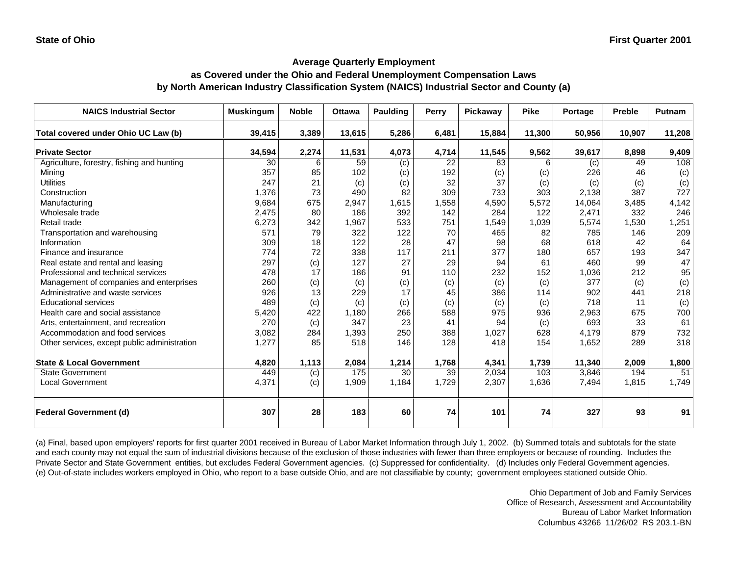#### **as Covered under the Ohio and Federal Unemployment Compensation Laws by North American Industry Classification System (NAICS) Industrial Sector and County (a)**

| <b>NAICS Industrial Sector</b>               | <b>Muskingum</b> | <b>Noble</b> | <b>Ottawa</b> | <b>Paulding</b> | Perry | Pickaway | <b>Pike</b> | Portage | <b>Preble</b> | <b>Putnam</b> |
|----------------------------------------------|------------------|--------------|---------------|-----------------|-------|----------|-------------|---------|---------------|---------------|
| Total covered under Ohio UC Law (b)          | 39,415           | 3,389        | 13,615        | 5,286           | 6,481 | 15,884   | 11,300      | 50,956  | 10,907        | 11,208        |
| <b>Private Sector</b>                        | 34,594           | 2,274        | 11,531        | 4,073           | 4,714 | 11,545   | 9,562       | 39,617  | 8,898         | 9,409         |
| Agriculture, forestry, fishing and hunting   | 30               | 6            | 59            | (c)             | 22    | 83       | 6           | (c)     | 49            | 108           |
| Mining                                       | 357              | 85           | 102           | (c)             | 192   | (c)      | (c)         | 226     | 46            | (c)           |
| <b>Utilities</b>                             | 247              | 21           | (c)           | (c)             | 32    | 37       | (c)         | (c)     | (c)           | (c)           |
| Construction                                 | 1,376            | 73           | 490           | 82              | 309   | 733      | 303         | 2,138   | 387           | 727           |
| Manufacturing                                | 9,684            | 675          | 2,947         | 1,615           | 1,558 | 4,590    | 5,572       | 14,064  | 3,485         | 4,142         |
| Wholesale trade                              | 2,475            | 80           | 186           | 392             | 142   | 284      | 122         | 2,471   | 332           | 246           |
| Retail trade                                 | 6,273            | 342          | 1,967         | 533             | 751   | 1,549    | 1,039       | 5,574   | 1,530         | 1,251         |
| Transportation and warehousing               | 571              | 79           | 322           | 122             | 70    | 465      | 82          | 785     | 146           | 209           |
| Information                                  | 309              | 18           | 122           | 28              | 47    | 98       | 68          | 618     | 42            | 64            |
| Finance and insurance                        | 774              | 72           | 338           | 117             | 211   | 377      | 180         | 657     | 193           | 347           |
| Real estate and rental and leasing           | 297              | (c)          | 127           | 27              | 29    | 94       | 61          | 460     | 99            | 47            |
| Professional and technical services          | 478              | 17           | 186           | 91              | 110   | 232      | 152         | 1,036   | 212           | 95            |
| Management of companies and enterprises      | 260              | (c)          | (c)           | (c)             | (c)   | (c)      | (c)         | 377     | (c)           | (c)           |
| Administrative and waste services            | 926              | 13           | 229           | 17              | 45    | 386      | 114         | 902     | 441           | 218           |
| <b>Educational services</b>                  | 489              | (c)          | (c)           | (c)             | (c)   | (c)      | (c)         | 718     | 11            | (c)           |
| Health care and social assistance            | 5,420            | 422          | 1,180         | 266             | 588   | 975      | 936         | 2,963   | 675           | 700           |
| Arts, entertainment, and recreation          | 270              | (c)          | 347           | 23              | 41    | 94       | (c)         | 693     | 33            | 61            |
| Accommodation and food services              | 3,082            | 284          | 1,393         | 250             | 388   | 1,027    | 628         | 4,179   | 879           | 732           |
| Other services, except public administration | 1,277            | 85           | 518           | 146             | 128   | 418      | 154         | 1,652   | 289           | 318           |
| <b>State &amp; Local Government</b>          | 4,820            | 1,113        | 2,084         | 1,214           | 1,768 | 4,341    | 1,739       | 11,340  | 2,009         | 1,800         |
| <b>State Government</b>                      | 449              | (c)          | 175           | 30              | 39    | 2,034    | 103         | 3,846   | 194           | 51            |
| <b>Local Government</b>                      | 4,371            | (c)          | 1,909         | 1,184           | 1,729 | 2,307    | 1,636       | 7,494   | 1,815         | 1,749         |
| <b>Federal Government (d)</b>                | 307              | 28           | 183           | 60              | 74    | 101      | 74          | 327     | 93            | 91            |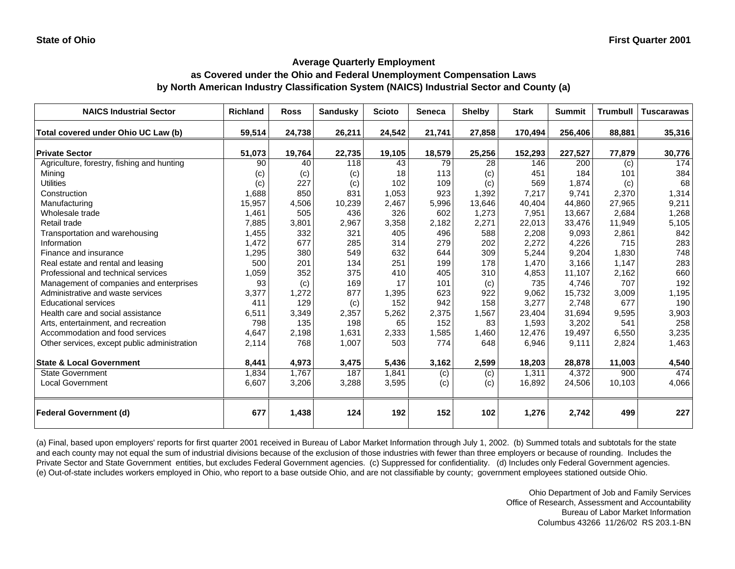#### **as Covered under the Ohio and Federal Unemployment Compensation Laws by North American Industry Classification System (NAICS) Industrial Sector and County (a)**

| <b>NAICS Industrial Sector</b>               | <b>Richland</b> | <b>Ross</b> | <b>Sandusky</b> | <b>Scioto</b> | <b>Seneca</b> | <b>Shelby</b> | <b>Stark</b> | <b>Summit</b> | <b>Trumbull</b> | <b>Tuscarawas</b> |
|----------------------------------------------|-----------------|-------------|-----------------|---------------|---------------|---------------|--------------|---------------|-----------------|-------------------|
| Total covered under Ohio UC Law (b)          | 59,514          | 24,738      | 26,211          | 24,542        | 21,741        | 27,858        | 170,494      | 256,406       | 88,881          | 35,316            |
| <b>Private Sector</b>                        | 51,073          | 19,764      | 22,735          | 19,105        | 18,579        | 25,256        | 152,293      | 227,527       | 77,879          | 30,776            |
| Agriculture, forestry, fishing and hunting   | 90              | 40          | 118             | 43            | 79            | 28            | 146          | 200           | (c)             | 174               |
| Minina                                       | (c)             | (c)         | (c)             | 18            | 113           | (c)           | 451          | 184           | 101             | 384               |
| <b>Utilities</b>                             | (c)             | 227         | (c)             | 102           | 109           | (c)           | 569          | 1,874         | (c)             | 68                |
| Construction                                 | 1,688           | 850         | 831             | 1,053         | 923           | 1,392         | 7,217        | 9.741         | 2,370           | 1,314             |
| Manufacturing                                | 15,957          | 4,506       | 10,239          | 2,467         | 5,996         | 13,646        | 40,404       | 44,860        | 27,965          | 9,211             |
| Wholesale trade                              | 1,461           | 505         | 436             | 326           | 602           | 1,273         | 7,951        | 13,667        | 2,684           | 1,268             |
| Retail trade                                 | 7,885           | 3,801       | 2,967           | 3,358         | 2,182         | 2,271         | 22,013       | 33,476        | 11,949          | 5,105             |
| Transportation and warehousing               | 1,455           | 332         | 321             | 405           | 496           | 588           | 2,208        | 9,093         | 2,861           | 842               |
| Information                                  | 1,472           | 677         | 285             | 314           | 279           | 202           | 2,272        | 4,226         | 715             | 283               |
| Finance and insurance                        | 1,295           | 380         | 549             | 632           | 644           | 309           | 5,244        | 9,204         | 1,830           | 748               |
| Real estate and rental and leasing           | 500             | 201         | 134             | 251           | 199           | 178           | 1,470        | 3,166         | 1,147           | 283               |
| Professional and technical services          | 1,059           | 352         | 375             | 410           | 405           | 310           | 4,853        | 11,107        | 2,162           | 660               |
| Management of companies and enterprises      | 93              | (c)         | 169             | 17            | 101           | (c)           | 735          | 4,746         | 707             | 192               |
| Administrative and waste services            | 3,377           | 1,272       | 877             | 1,395         | 623           | 922           | 9,062        | 15,732        | 3,009           | 1,195             |
| <b>Educational services</b>                  | 411             | 129         | (c)             | 152           | 942           | 158           | 3,277        | 2,748         | 677             | 190               |
| Health care and social assistance            | 6,511           | 3,349       | 2,357           | 5,262         | 2,375         | 1,567         | 23,404       | 31,694        | 9,595           | 3,903             |
| Arts, entertainment, and recreation          | 798             | 135         | 198             | 65            | 152           | 83            | 1,593        | 3,202         | 541             | 258               |
| Accommodation and food services              | 4,647           | 2,198       | 1,631           | 2,333         | 1,585         | 1,460         | 12,476       | 19,497        | 6,550           | 3,235             |
| Other services, except public administration | 2,114           | 768         | 1,007           | 503           | 774           | 648           | 6,946        | 9,111         | 2,824           | 1,463             |
| <b>State &amp; Local Government</b>          | 8,441           | 4,973       | 3,475           | 5,436         | 3,162         | 2,599         | 18,203       | 28,878        | 11,003          | 4,540             |
| <b>State Government</b>                      | 1,834           | 1,767       | 187             | 1,841         | (c)           | (c)           | 1,311        | 4,372         | 900             | 474               |
| <b>Local Government</b>                      | 6,607           | 3,206       | 3,288           | 3,595         | (c)           | (c)           | 16,892       | 24,506        | 10,103          | 4,066             |
| <b>Federal Government (d)</b>                | 677             | 1,438       | 124             | 192           | 152           | 102           | 1,276        | 2,742         | 499             | 227               |